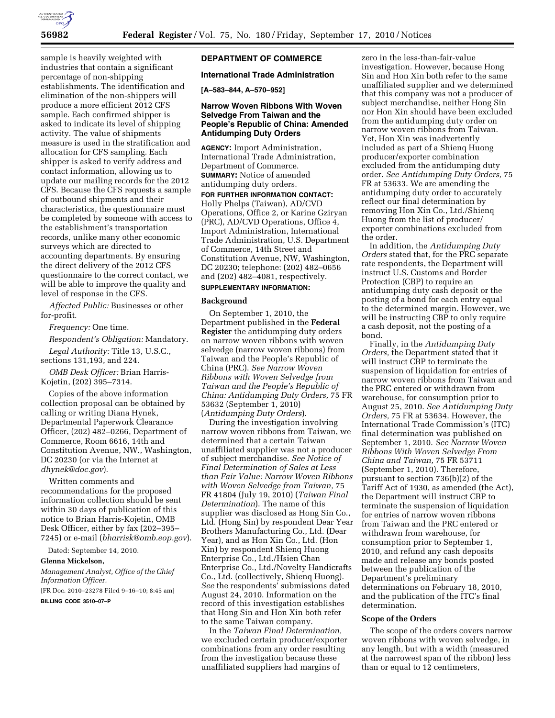

sample is heavily weighted with industries that contain a significant percentage of non-shipping establishments. The identification and elimination of the non-shippers will produce a more efficient 2012 CFS sample. Each confirmed shipper is asked to indicate its level of shipping activity. The value of shipments measure is used in the stratification and allocation for CFS sampling. Each shipper is asked to verify address and contact information, allowing us to update our mailing records for the 2012 CFS. Because the CFS requests a sample of outbound shipments and their characteristics, the questionnaire must be completed by someone with access to the establishment's transportation records, unlike many other economic surveys which are directed to accounting departments. By ensuring the direct delivery of the 2012 CFS questionnaire to the correct contact, we will be able to improve the quality and level of response in the CFS.

*Affected Public:* Businesses or other for-profit.

*Frequency:* One time.

*Respondent's Obligation:* Mandatory.

*Legal Authority:* Title 13, U.S.C., sections 131,193, and 224.

*OMB Desk Officer:* Brian Harris-Kojetin, (202) 395–7314.

Copies of the above information collection proposal can be obtained by calling or writing Diana Hynek, Departmental Paperwork Clearance Officer, (202) 482–0266, Department of Commerce, Room 6616, 14th and Constitution Avenue, NW., Washington, DC 20230 (or via the Internet at *[dhynek@doc.gov](mailto:dhynek@doc.gov)*).

Written comments and recommendations for the proposed information collection should be sent within 30 days of publication of this notice to Brian Harris-Kojetin, OMB Desk Officer, either by fax (202–395– 7245) or e-mail (*[bharrisk@omb.eop.gov](mailto:bharrisk@omb.eop.gov)*).

Dated: September 14, 2010.

#### **Glenna Mickelson,**

*Management Analyst, Office of the Chief Information Officer.* 

[FR Doc. 2010–23278 Filed 9–16–10; 8:45 am]

**BILLING CODE 3510–07–P** 

# **DEPARTMENT OF COMMERCE**

#### **International Trade Administration**

**[A–583–844, A–570–952]** 

### **Narrow Woven Ribbons With Woven Selvedge From Taiwan and the People's Republic of China: Amended Antidumping Duty Orders**

**AGENCY:** Import Administration, International Trade Administration, Department of Commerce. **SUMMARY:** Notice of amended antidumping duty orders.

**FOR FURTHER INFORMATION CONTACT:**  Holly Phelps (Taiwan), AD/CVD Operations, Office 2, or Karine Gziryan (PRC), AD/CVD Operations, Office 4, Import Administration, International Trade Administration, U.S. Department of Commerce, 14th Street and Constitution Avenue, NW, Washington, DC 20230; telephone: (202) 482–0656 and (202) 482–4081, respectively.

# **SUPPLEMENTARY INFORMATION:**

#### **Background**

On September 1, 2010, the Department published in the **Federal Register** the antidumping duty orders on narrow woven ribbons with woven selvedge (narrow woven ribbons) from Taiwan and the People's Republic of China (PRC). *See Narrow Woven Ribbons with Woven Selvedge from Taiwan and the People's Republic of China: Antidumping Duty Orders,* 75 FR 53632 (September 1, 2010) (*Antidumping Duty Orders*).

During the investigation involving narrow woven ribbons from Taiwan, we determined that a certain Taiwan unaffiliated supplier was not a producer of subject merchandise. *See Notice of Final Determination of Sales at Less than Fair Value: Narrow Woven Ribbons with Woven Selvedge from Taiwan,* 75 FR 41804 (July 19, 2010) (*Taiwan Final Determination*). The name of this supplier was disclosed as Hong Sin Co., Ltd. (Hong Sin) by respondent Dear Year Brothers Manufacturing Co., Ltd. (Dear Year), and as Hon Xin Co., Ltd. (Hon Xin) by respondent Shienq Huong Enterprise Co., Ltd./Hsien Chan Enterprise Co., Ltd./Novelty Handicrafts Co., Ltd. (collectively, Shienq Huong). *See* the respondents' submissions dated August 24, 2010. Information on the record of this investigation establishes that Hong Sin and Hon Xin both refer to the same Taiwan company.

In the *Taiwan Final Determination,*  we excluded certain producer/exporter combinations from any order resulting from the investigation because these unaffiliated suppliers had margins of

zero in the less-than-fair-value investigation. However, because Hong Sin and Hon Xin both refer to the same unaffiliated supplier and we determined that this company was not a producer of subject merchandise, neither Hong Sin nor Hon Xin should have been excluded from the antidumping duty order on narrow woven ribbons from Taiwan. Yet, Hon Xin was inadvertently included as part of a Shienq Huong producer/exporter combination excluded from the antidumping duty order. *See Antidumping Duty Orders,* 75 FR at 53633. We are amending the antidumping duty order to accurately reflect our final determination by removing Hon Xin Co., Ltd./Shienq Huong from the list of producer/ exporter combinations excluded from the order.

In addition, the *Antidumping Duty Orders* stated that, for the PRC separate rate respondents, the Department will instruct U.S. Customs and Border Protection (CBP) to require an antidumping duty cash deposit or the posting of a bond for each entry equal to the determined margin. However, we will be instructing CBP to only require a cash deposit, not the posting of a bond.

Finally, in the *Antidumping Duty Orders,* the Department stated that it will instruct CBP to terminate the suspension of liquidation for entries of narrow woven ribbons from Taiwan and the PRC entered or withdrawn from warehouse, for consumption prior to August 25, 2010. *See Antidumping Duty Orders,* 75 FR at 53634. However, the International Trade Commission's (ITC) final determination was published on September 1, 2010. *See Narrow Woven Ribbons With Woven Selvedge From China and Taiwan,* 75 FR 53711 (September 1, 2010). Therefore, pursuant to section 736(b)(2) of the Tariff Act of 1930, as amended (the Act), the Department will instruct CBP to terminate the suspension of liquidation for entries of narrow woven ribbons from Taiwan and the PRC entered or withdrawn from warehouse, for consumption prior to September 1, 2010, and refund any cash deposits made and release any bonds posted between the publication of the Department's preliminary determinations on February 18, 2010, and the publication of the ITC's final determination.

#### **Scope of the Orders**

The scope of the orders covers narrow woven ribbons with woven selvedge, in any length, but with a width (measured at the narrowest span of the ribbon) less than or equal to 12 centimeters,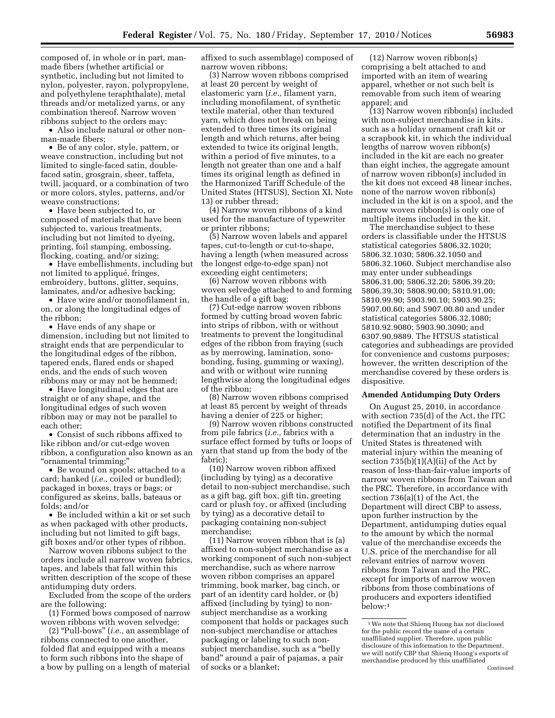composed of, in whole or in part, manmade fibers (whether artificial or synthetic, including but not limited to nylon, polyester, rayon, polypropylene, and polyethylene teraphthalate), metal threads and/or metalized yarns, or any combination thereof. Narrow woven ribbons subject to the orders may:

• Also include natural or other nonman-made fibers;

• Be of any color, style, pattern, or weave construction, including but not limited to single-faced satin, doublefaced satin, grosgrain, sheer, taffeta, twill, jacquard, or a combination of two or more colors, styles, patterns, and/or weave constructions;

• Have been subjected to, or composed of materials that have been subjected to, various treatments, including but not limited to dyeing, printing, foil stamping, embossing, flocking, coating, and/or sizing;

• Have embellishments, including but not limited to appliqué, fringes, embroidery, buttons, glitter, sequins, laminates, and/or adhesive backing;

• Have wire and/or monofilament in, on, or along the longitudinal edges of the ribbon;

• Have ends of any shape or dimension, including but not limited to straight ends that are perpendicular to the longitudinal edges of the ribbon, tapered ends, flared ends or shaped ends, and the ends of such woven ribbons may or may not be hemmed;

• Have longitudinal edges that are straight or of any shape, and the longitudinal edges of such woven ribbon may or may not be parallel to each other;

• Consist of such ribbons affixed to like ribbon and/or cut-edge woven ribbon, a configuration also known as an ''ornamental trimming;''

• Be wound on spools; attached to a card; hanked (*i.e.,* coiled or bundled); packaged in boxes, trays or bags; or configured as skeins, balls, bateaus or folds; and/or

• Be included within a kit or set such as when packaged with other products, including but not limited to gift bags, gift boxes and/or other types of ribbon.

Narrow woven ribbons subject to the orders include all narrow woven fabrics, tapes, and labels that fall within this written description of the scope of these antidumping duty orders.

Excluded from the scope of the orders are the following:

(1) Formed bows composed of narrow woven ribbons with woven selvedge;

(2) ''Pull-bows'' (*i.e.,* an assemblage of ribbons connected to one another, folded flat and equipped with a means to form such ribbons into the shape of a bow by pulling on a length of material affixed to such assemblage) composed of narrow woven ribbons;

(3) Narrow woven ribbons comprised at least 20 percent by weight of elastomeric yarn (*i.e.,* filament yarn, including monofilament, of synthetic textile material, other than textured yarn, which does not break on being extended to three times its original length and which returns, after being extended to twice its original length, within a period of five minutes, to a length not greater than one and a half times its original length as defined in the Harmonized Tariff Schedule of the United States (HTSUS), Section XI, Note 13) or rubber thread;

(4) Narrow woven ribbons of a kind used for the manufacture of typewriter or printer ribbons;

(5) Narrow woven labels and apparel tapes, cut-to-length or cut-to-shape, having a length (when measured across the longest edge-to-edge span) not exceeding eight centimeters;

(6) Narrow woven ribbons with woven selvedge attached to and forming the handle of a gift bag;

(7) Cut-edge narrow woven ribbons formed by cutting broad woven fabric into strips of ribbon, with or without treatments to prevent the longitudinal edges of the ribbon from fraying (such as by merrowing, lamination, sonobonding, fusing, gumming or waxing), and with or without wire running lengthwise along the longitudinal edges of the ribbon;

(8) Narrow woven ribbons comprised at least 85 percent by weight of threads having a denier of 225 or higher;

(9) Narrow woven ribbons constructed from pile fabrics (*i.e.,* fabrics with a surface effect formed by tufts or loops of yarn that stand up from the body of the fabric);

(10) Narrow woven ribbon affixed (including by tying) as a decorative detail to non-subject merchandise, such as a gift bag, gift box, gift tin, greeting card or plush toy, or affixed (including by tying) as a decorative detail to packaging containing non-subject merchandise;

(11) Narrow woven ribbon that is (a) affixed to non-subject merchandise as a working component of such non-subject merchandise, such as where narrow woven ribbon comprises an apparel trimming, book marker, bag cinch, or part of an identity card holder, or (b) affixed (including by tying) to nonsubject merchandise as a working component that holds or packages such non-subject merchandise or attaches packaging or labeling to such nonsubject merchandise, such as a ''belly band'' around a pair of pajamas, a pair of socks or a blanket;

(12) Narrow woven ribbon(s) comprising a belt attached to and imported with an item of wearing apparel, whether or not such belt is removable from such item of wearing apparel; and

(13) Narrow woven ribbon(s) included with non-subject merchandise in kits, such as a holiday ornament craft kit or a scrapbook kit, in which the individual lengths of narrow woven ribbon(s) included in the kit are each no greater than eight inches, the aggregate amount of narrow woven ribbon(s) included in the kit does not exceed 48 linear inches, none of the narrow woven ribbon(s) included in the kit is on a spool, and the narrow woven ribbon(s) is only one of multiple items included in the kit.

The merchandise subject to these orders is classifiable under the HTSUS statistical categories 5806.32.1020; 5806.32.1030; 5806.32.1050 and 5806.32.1060. Subject merchandise also may enter under subheadings 5806.31.00; 5806.32.20; 5806.39.20; 5806.39.30; 5808.90.00; 5810.91.00; 5810.99.90; 5903.90.10; 5903.90.25; 5907.00.60; and 5907.00.80 and under statistical categories 5806.32.1080; 5810.92.9080; 5903.90.3090; and 6307.90.9889. The HTSUS statistical categories and subheadings are provided for convenience and customs purposes; however, the written description of the merchandise covered by these orders is dispositive.

### **Amended Antidumping Duty Orders**

On August 25, 2010, in accordance with section 735(d) of the Act, the ITC notified the Department of its final determination that an industry in the United States is threatened with material injury within the meaning of section  $735(b)(1)(A)(ii)$  of the Act by reason of less-than-fair-value imports of narrow woven ribbons from Taiwan and the PRC. Therefore, in accordance with section 736(a)(1) of the Act, the Department will direct CBP to assess, upon further instruction by the Department, antidumping duties equal to the amount by which the normal value of the merchandise exceeds the U.S. price of the merchandise for all relevant entries of narrow woven ribbons from Taiwan and the PRC, except for imports of narrow woven ribbons from those combinations of producers and exporters identified below:1

<sup>1</sup>We note that Shienq Huong has not disclosed for the public record the name of a certain unaffiliated supplier. Therefore, upon public disclosure of this information to the Department, we will notify CBP that Shienq Huong's exports of merchandise produced by this unaffiliated Continued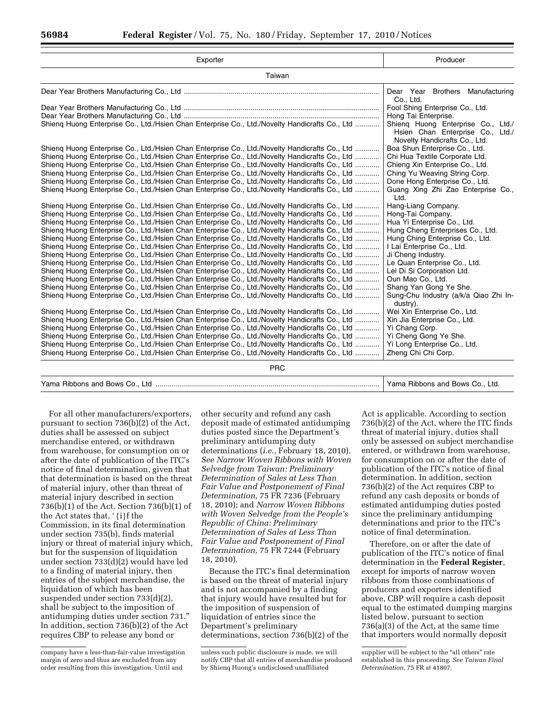| Exporter                                                                                       | Producer                                                                                                                        |  |
|------------------------------------------------------------------------------------------------|---------------------------------------------------------------------------------------------------------------------------------|--|
| Taiwan                                                                                         |                                                                                                                                 |  |
|                                                                                                | Dear Year Brothers Manufacturing<br>Co., Ltd.                                                                                   |  |
|                                                                                                | Fool Shing Enterprise Co., Ltd.                                                                                                 |  |
| Shieng Huong Enterprise Co., Ltd./Hsien Chan Enterprise Co., Ltd./Novelty Handicrafts Co., Ltd | Hong Tai Enterprise.<br>Shieng Huong Enterprise Co., Ltd./<br>Hsien Chan Enterprise Co., Ltd./<br>Novelty Handicrafts Co., Ltd. |  |
| Shieng Huong Enterprise Co., Ltd./Hsien Chan Enterprise Co., Ltd./Novelty Handicrafts Co., Ltd | Boa Shun Enterprise Co., Ltd.                                                                                                   |  |
| Shienq Huong Enterprise Co., Ltd./Hsien Chan Enterprise Co., Ltd./Novelty Handicrafts Co., Ltd | Chi Hua Textile Corporate Ltd.                                                                                                  |  |
| Shieng Huong Enterprise Co., Ltd./Hsien Chan Enterprise Co., Ltd./Novelty Handicrafts Co., Ltd | Chieng Xin Enterprise Co., Ltd.                                                                                                 |  |
| Shieng Huong Enterprise Co., Ltd./Hsien Chan Enterprise Co., Ltd./Novelty Handicrafts Co., Ltd | Ching Yu Weaving String Corp.                                                                                                   |  |
| Shieng Huong Enterprise Co., Ltd./Hsien Chan Enterprise Co., Ltd./Novelty Handicrafts Co., Ltd | Done Hong Enterprise Co., Ltd.                                                                                                  |  |
| Shieng Huong Enterprise Co., Ltd./Hsien Chan Enterprise Co., Ltd./Novelty Handicrafts Co., Ltd | Guang Xing Zhi Zao Enterprise Co.,<br>Ltd.                                                                                      |  |
| Shieng Huong Enterprise Co., Ltd./Hsien Chan Enterprise Co., Ltd./Novelty Handicrafts Co., Ltd | Hang-Liang Company.                                                                                                             |  |
| Shieng Huong Enterprise Co., Ltd./Hsien Chan Enterprise Co., Ltd./Novelty Handicrafts Co., Ltd | Hong-Tai Company.                                                                                                               |  |
| Shienq Huong Enterprise Co., Ltd./Hsien Chan Enterprise Co., Ltd./Novelty Handicrafts Co., Ltd | Hua Yi Enterprise Co., Ltd.                                                                                                     |  |
| Shieng Huong Enterprise Co., Ltd./Hsien Chan Enterprise Co., Ltd./Novelty Handicrafts Co., Ltd | Hung Cheng Enterprises Co., Ltd.                                                                                                |  |
| Shienq Huong Enterprise Co., Ltd./Hsien Chan Enterprise Co., Ltd./Novelty Handicrafts Co., Ltd | Hung Ching Enterprise Co., Ltd.                                                                                                 |  |
| Shienq Huong Enterprise Co., Ltd./Hsien Chan Enterprise Co., Ltd./Novelty Handicrafts Co., Ltd | I Lai Enterprise Co., Ltd.                                                                                                      |  |
| Shieng Huong Enterprise Co., Ltd./Hsien Chan Enterprise Co., Ltd./Novelty Handicrafts Co., Ltd | Ji Cheng Industry.                                                                                                              |  |
| Shieng Huong Enterprise Co., Ltd./Hsien Chan Enterprise Co., Ltd./Novelty Handicrafts Co., Ltd | Le Quan Enterprise Co., Ltd.                                                                                                    |  |
| Shieng Huong Enterprise Co., Ltd./Hsien Chan Enterprise Co., Ltd./Novelty Handicrafts Co., Ltd | Lei Di Si Corporation Ltd.                                                                                                      |  |
| Shienq Huong Enterprise Co., Ltd./Hsien Chan Enterprise Co., Ltd./Novelty Handicrafts Co., Ltd | Oun Mao Co., Ltd.                                                                                                               |  |
| Shieng Huong Enterprise Co., Ltd./Hsien Chan Enterprise Co., Ltd./Novelty Handicrafts Co., Ltd | Shang Yan Gong Ye She.                                                                                                          |  |
| Shieng Huong Enterprise Co., Ltd./Hsien Chan Enterprise Co., Ltd./Novelty Handicrafts Co., Ltd | Sung-Chu Industry (a/k/a Qiao Zhi In-<br>dustry).                                                                               |  |
| Shieng Huong Enterprise Co., Ltd./Hsien Chan Enterprise Co., Ltd./Novelty Handicrafts Co., Ltd | Wei Xin Enterprise Co., Ltd.                                                                                                    |  |
| Shienq Huong Enterprise Co., Ltd./Hsien Chan Enterprise Co., Ltd./Novelty Handicrafts Co., Ltd | Xin Jia Enterprise Co., Ltd.                                                                                                    |  |
| Shienq Huong Enterprise Co., Ltd./Hsien Chan Enterprise Co., Ltd./Novelty Handicrafts Co., Ltd | Yi Chang Corp.                                                                                                                  |  |
| Shieng Huong Enterprise Co., Ltd./Hsien Chan Enterprise Co., Ltd./Novelty Handicrafts Co., Ltd | Yi Cheng Gong Ye She.                                                                                                           |  |
| Shienq Huong Enterprise Co., Ltd./Hsien Chan Enterprise Co., Ltd./Novelty Handicrafts Co., Ltd | Yi Long Enterprise Co., Ltd.                                                                                                    |  |
| Shienq Huong Enterprise Co., Ltd./Hsien Chan Enterprise Co., Ltd./Novelty Handicrafts Co., Ltd | Zheng Chi Chi Corp.                                                                                                             |  |
| <b>PRC</b>                                                                                     |                                                                                                                                 |  |
|                                                                                                | Yama Ribbons and Bows Co., Ltd.                                                                                                 |  |

For all other manufacturers/exporters, pursuant to section 736(b)(2) of the Act, duties shall be assessed on subject merchandise entered, or withdrawn from warehouse, for consumption on or after the date of publication of the ITC's notice of final determination, given that that determination is based on the threat of material injury, other than threat of material injury described in section 736(b)(1) of the Act. Section 736(b)(1) of the Act states that, ' {i}f the Commission, in its final determination under section 735(b), finds material injury or threat of material injury which, but for the suspension of liquidation under section 733(d)(2) would have led to a finding of material injury, then entries of the subject merchandise, the liquidation of which has been suspended under section 733(d)(2), shall be subject to the imposition of antidumping duties under section 731.'' In addition, section 736(b)(2) of the Act requires CBP to release any bond or

other security and refund any cash deposit made of estimated antidumping duties posted since the Department's preliminary antidumping duty determinations (*i.e.,* February 18, 2010). *See Narrow Woven Ribbons with Woven Selvedge from Taiwan: Preliminary Determination of Sales at Less Than Fair Value and Postponement of Final Determination,* 75 FR 7236 (February 18, 2010); and *Narrow Woven Ribbons with Woven Selvedge from the People's Republic of China: Preliminary Determination of Sales at Less Than Fair Value and Postponement of Final Determination,* 75 FR 7244 (February 18, 2010).

Because the ITC's final determination is based on the threat of material injury and is not accompanied by a finding that injury would have resulted but for the imposition of suspension of liquidation of entries since the Department's preliminary determinations, section 736(b)(2) of the

Act is applicable. According to section 736(b)(2) of the Act, where the ITC finds threat of material injury, duties shall only be assessed on subject merchandise entered, or withdrawn from warehouse, for consumption on or after the date of publication of the ITC's notice of final determination. In addition, section 736(b)(2) of the Act requires CBP to refund any cash deposits or bonds of estimated antidumping duties posted since the preliminary antidumping determinations and prior to the ITC's notice of final determination.

Therefore, on or after the date of publication of the ITC's notice of final determination in the **Federal Register**, except for imports of narrow woven ribbons from those combinations of producers and exporters identified above, CBP will require a cash deposit equal to the estimated dumping margins listed below, pursuant to section 736(a)(3) of the Act, at the same time that importers would normally deposit

company have a less-than-fair-value investigation margin of zero and thus are excluded from any order resulting from this investigation. Until and

unless such public disclosure is made, we will notify CBP that all entries of merchandise produced by Shienq Huong's undisclosed unaffiliated

supplier will be subject to the "all others" rate established in this proceeding. *See Taiwan Final Determination,* 75 FR at 41807.